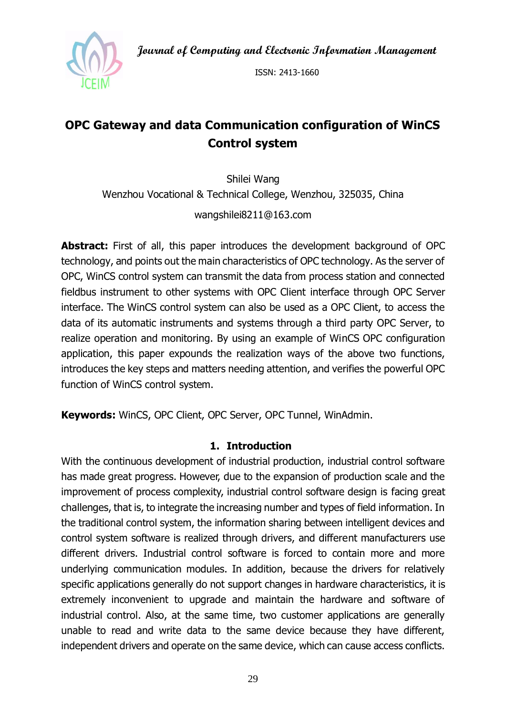**Journal of Computing and Electronic Information Management**



ISSN: 2413-1660

# **OPC Gateway and data Communication configuration of WinCS Control system**

Shilei Wang Wenzhou Vocational & Technical College, Wenzhou, 325035, China wangshilei8211@163.com

Abstract: First of all, this paper introduces the development background of OPC technology, and points out the main characteristics of OPC technology. As the server of OPC, WinCS control system can transmit the data from process station and connected fieldbus instrument to other systems with OPC Client interface through OPC Server interface. The WinCS control system can also be used as a OPC Client, to access the data of its automatic instruments and systems through a third party OPC Server, to realize operation and monitoring. By using an example of WinCS OPC configuration application, this paper expounds the realization ways of the above two functions, introduces the key steps and matters needing attention, and verifies the powerful OPC function of WinCS control system.

**Keywords:** WinCS, OPC Client, OPC Server, OPC Tunnel, WinAdmin.

#### **1. Introduction**

With the continuous development of industrial production, industrial control software has made great progress. However, due to the expansion of production scale and the improvement of process complexity, industrial control software design is facing great challenges, that is, to integrate the increasing number and types of field information. In the traditional control system, the information sharing between intelligent devices and control system software is realized through drivers, and different manufacturers use different drivers. Industrial control software is forced to contain more and more underlying communication modules. In addition, because the drivers for relatively specific applications generally do not support changes in hardware characteristics, it is extremely inconvenient to upgrade and maintain the hardware and software of industrial control. Also, at the same time, two customer applications are generally unable to read and write data to the same device because they have different, independent drivers and operate on the same device, which can cause access conflicts.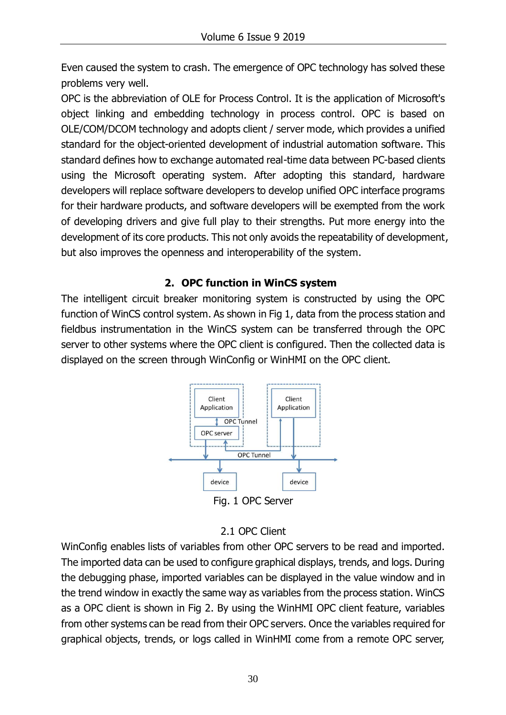Even caused the system to crash. The emergence of OPC technology has solved these problems very well.

OPC is the abbreviation of OLE for Process Control. It is the application of Microsoft's object linking and embedding technology in process control. OPC is based on OLE/COM/DCOM technology and adopts client / server mode, which provides a unified standard for the object-oriented development of industrial automation software. This standard defines how to exchange automated real-time data between PC-based clients using the Microsoft operating system. After adopting this standard, hardware developers will replace software developers to develop unified OPC interface programs for their hardware products, and software developers will be exempted from the work of developing drivers and give full play to their strengths. Put more energy into the development of its core products. This not only avoids the repeatability of development, but also improves the openness and interoperability of the system.

## **2. OPC function in WinCS system**

The intelligent circuit breaker monitoring system is constructed by using the OPC function of WinCS control system. As shown in Fig 1, data from the process station and fieldbus instrumentation in the WinCS system can be transferred through the OPC server to other systems where the OPC client is configured. Then the collected data is displayed on the screen through WinConfig or WinHMI on the OPC client.



# 2.1 OPC Client

WinConfig enables lists of variables from other OPC servers to be read and imported. The imported data can be used to configure graphical displays, trends, and logs. During the debugging phase, imported variables can be displayed in the value window and in the trend window in exactly the same way as variables from the process station. WinCS as a OPC client is shown in Fig 2. By using the WinHMI OPC client feature, variables from other systems can be read from their OPC servers. Once the variables required for graphical objects, trends, or logs called in WinHMI come from a remote OPC server,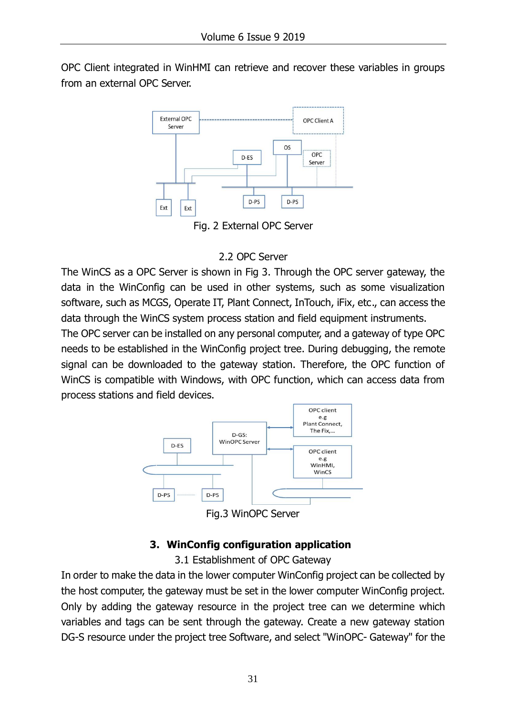OPC Client integrated in WinHMI can retrieve and recover these variables in groups from an external OPC Server.



Fig. 2 External OPC Server

### 2.2 OPC Server

The WinCS as a OPC Server is shown in Fig 3. Through the OPC server gateway, the data in the WinConfig can be used in other systems, such as some visualization software, such as MCGS, Operate IT, Plant Connect, InTouch, iFix, etc., can access the data through the WinCS system process station and field equipment instruments.

The OPC server can be installed on any personal computer, and a gateway of type OPC needs to be established in the WinConfig project tree. During debugging, the remote signal can be downloaded to the gateway station. Therefore, the OPC function of WinCS is compatible with Windows, with OPC function, which can access data from process stations and field devices.



Fig.3 WinOPC Server

# **3. WinConfig configuration application**

3.1 Establishment of OPC Gateway

In order to make the data in the lower computer WinConfig project can be collected by the host computer, the gateway must be set in the lower computer WinConfig project. Only by adding the gateway resource in the project tree can we determine which variables and tags can be sent through the gateway. Create a new gateway station DG-S resource under the project tree Software, and select "WinOPC- Gateway" for the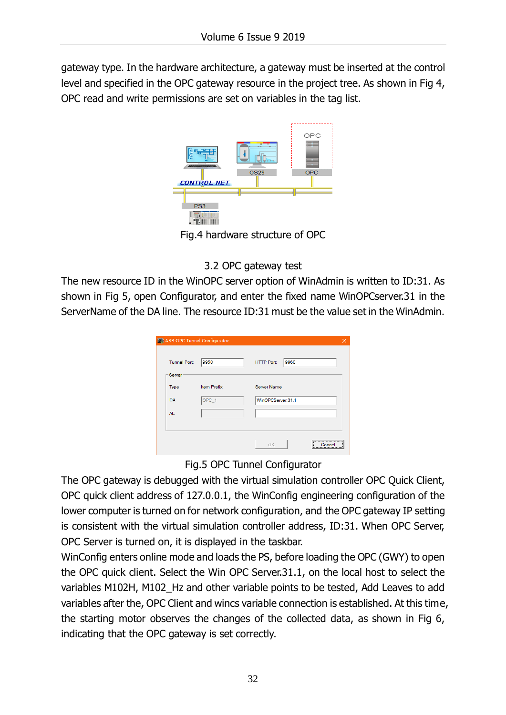gateway type. In the hardware architecture, a gateway must be inserted at the control level and specified in the OPC gateway resource in the project tree. As shown in Fig 4, OPC read and write permissions are set on variables in the tag list.



3.2 OPC gateway test

The new resource ID in the WinOPC server option of WinAdmin is written to ID:31. As shown in Fig 5, open Configurator, and enter the fixed name WinOPCserver.31 in the ServerName of the DA line. The resource ID:31 must be the value set in the WinAdmin.

| ABB OPC Tunnel Configurator |                    |                           | × |
|-----------------------------|--------------------|---------------------------|---|
| <b>Tunnel Port:</b>         | 9950               | 9960<br><b>HTTP Port:</b> |   |
| -Server<br>Type             | <b>Item Prefix</b> | <b>Server Name</b>        |   |
| <b>DA</b>                   | OPC_1              | WinOPCServer.31.1         |   |
| <b>AE</b>                   |                    |                           |   |
|                             |                    |                           |   |
|                             |                    | 0K<br>Cancel              |   |

#### Fig.5 OPC Tunnel Configurator

The OPC gateway is debugged with the virtual simulation controller OPC Quick Client, OPC quick client address of 127.0.0.1, the WinConfig engineering configuration of the lower computer is turned on for network configuration, and the OPC gateway IP setting is consistent with the virtual simulation controller address, ID:31. When OPC Server, OPC Server is turned on, it is displayed in the taskbar.

WinConfig enters online mode and loads the PS, before loading the OPC (GWY) to open the OPC quick client. Select the Win OPC Server.31.1, on the local host to select the variables M102H, M102\_Hz and other variable points to be tested, Add Leaves to add variables after the, OPC Client and wincs variable connection is established. At this time, the starting motor observes the changes of the collected data, as shown in Fig 6, indicating that the OPC gateway is set correctly.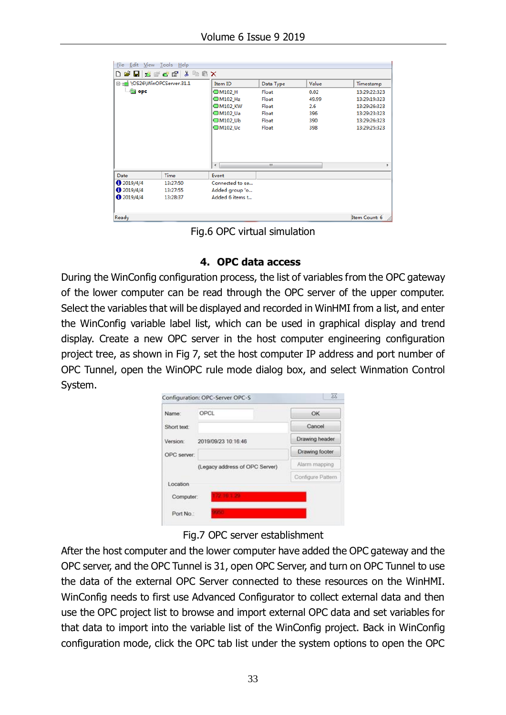| <b>File</b>                   | Edit View Tools Help  |                 |           |       |               |
|-------------------------------|-----------------------|-----------------|-----------|-------|---------------|
|                               | D B B   K Y Y Y H B X |                 |           |       |               |
| □ :ni \OS26\WinOPCServer.31.1 |                       | Item ID         | Data Type | Value | Timestamp     |
| <b>Sopra</b>                  |                       | <b>IM102_H</b>  | Float     | 0.02  | 13:29:22:323  |
|                               |                       | <b>CM102_Hz</b> | Float     | 49.99 | 13:29:19:323  |
|                               |                       | <b>■M102 KW</b> | Float     | 2.6   | 13:29:26:323  |
|                               |                       | <b>■M102 Ua</b> | Float     | 396   | 13:29:23:323  |
|                               |                       | <b>M102_Ub</b>  | Float     | 390   | 13:29:26:323  |
|                               |                       | <b>M102_Uc</b>  | Float     | 398   | 13:29:25:323  |
|                               |                       | $\leftarrow$    | Ш         |       |               |
| Date                          | Time                  | Event           |           |       |               |
| 2019/4/4                      | 13:27:50              | Connected to se |           |       |               |
| 0.2019/4/4                    | 13:27:55              | Added group 'o  |           |       |               |
| 2019/4/4                      | 13:28:37              | Added 6 items t |           |       |               |
| Ready                         |                       |                 |           |       | Item Count: 6 |

Fig.6 OPC virtual simulation

#### **4. OPC data access**

During the WinConfig configuration process, the list of variables from the OPC gateway of the lower computer can be read through the OPC server of the upper computer. Select the variables that will be displayed and recorded in WinHMI from a list, and enter the WinConfig variable label list, which can be used in graphical display and trend display. Create a new OPC server in the host computer engineering configuration project tree, as shown in Fig 7, set the host computer IP address and port number of OPC Tunnel, open the WinOPC rule mode dialog box, and select Winmation Control System.

| Name:                           | OPCL                           | OK                |  |
|---------------------------------|--------------------------------|-------------------|--|
| Short text:                     |                                | Cancel            |  |
| Version:<br>2019/09/23 10:16:46 |                                | Drawing header    |  |
| OPC server:                     |                                | Drawing footer    |  |
|                                 | (Legacy address of OPC Server) | Alarm mapping     |  |
|                                 |                                | Configure Pattern |  |
| Location<br>Computer:           | 2010/12/2011                   |                   |  |

Fig.7 OPC server establishment

After the host computer and the lower computer have added the OPC gateway and the OPC server, and the OPC Tunnel is 31, open OPC Server, and turn on OPC Tunnel to use the data of the external OPC Server connected to these resources on the WinHMI. WinConfig needs to first use Advanced Configurator to collect external data and then use the OPC project list to browse and import external OPC data and set variables for that data to import into the variable list of the WinConfig project. Back in WinConfig configuration mode, click the OPC tab list under the system options to open the OPC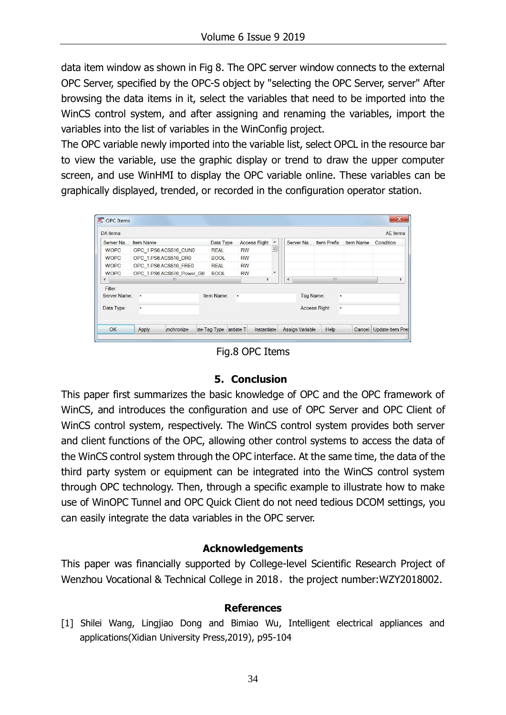data item window as shown in Fig 8. The OPC server window connects to the external OPC Server, specified by the OPC-S object by "selecting the OPC Server, server" After browsing the data items in it, select the variables that need to be imported into the WinCS control system, and after assigning and renaming the variables, import the variables into the list of variables in the WinConfig project.

The OPC variable newly imported into the variable list, select OPCL in the resource bar to view the variable, use the graphic display or trend to draw the upper computer screen, and use WinHMI to display the OPC variable online. These variables can be graphically displayed, trended, or recorded in the configuration operator station.

| <b>DA</b> Items |                                               |                           |                                                      |           |                          |  |               |                        |                  |           |        | <b>AE</b> Items         |    |
|-----------------|-----------------------------------------------|---------------------------|------------------------------------------------------|-----------|--------------------------|--|---------------|------------------------|------------------|-----------|--------|-------------------------|----|
| Server Na       | Item Name                                     |                           | <b>Access Right</b><br>Data Type<br>$\blacktriangle$ |           | Server Na                |  |               | <b>Item Prefix</b>     | <b>Item Name</b> | Condition |        |                         |    |
| <b>WOPC</b>     | OPC 1.PS6.ACS510 CUN0                         |                           | <b>REAL</b>                                          | <b>RW</b> | Ξ                        |  |               |                        |                  |           |        |                         |    |
| <b>WOPC</b>     | OPC 1.PS6.ACS510 DR0<br>OPC 1.PS6.ACS510 FRE0 |                           | <b>BOOL</b>                                          | <b>RW</b> |                          |  |               |                        |                  |           |        |                         |    |
| <b>WOPC</b>     |                                               |                           | <b>REAL</b>                                          | <b>RW</b> |                          |  |               |                        |                  |           |        |                         |    |
| <b>WOPC</b>     |                                               | OPC 1.PS6.ACS510_Power_G0 | <b>BOOL</b>                                          | <b>RW</b> | $\overline{\phantom{a}}$ |  |               |                        |                  |           |        |                         |    |
| $\rightarrow$   | m                                             |                           |                                                      |           |                          |  | ٠             |                        | m                |           |        |                         | Þ. |
| Filter          |                                               |                           |                                                      |           |                          |  |               |                        |                  |           |        |                         |    |
| Server Name:    | $\star$                                       |                           | Item Name:<br>$\star$                                |           |                          |  | Tag Name:     |                        |                  | $\star$   |        |                         |    |
| Data Type:      | ÷                                             |                           |                                                      |           |                          |  | Access Right: |                        |                  | $\star$   |        |                         |    |
| OK              | Apply                                         | <i><b>Inchronize</b></i>  | ate Tag Type                                         | antiate T | Instantiate              |  |               | <b>Assign Variable</b> | Help             |           | Cancel | <b>Update Item Pret</b> |    |

Fig.8 OPC Items

#### **5. Conclusion**

This paper first summarizes the basic knowledge of OPC and the OPC framework of WinCS, and introduces the configuration and use of OPC Server and OPC Client of WinCS control system, respectively. The WinCS control system provides both server and client functions of the OPC, allowing other control systems to access the data of the WinCS control system through the OPC interface. At the same time, the data of the third party system or equipment can be integrated into the WinCS control system through OPC technology. Then, through a specific example to illustrate how to make use of WinOPC Tunnel and OPC Quick Client do not need tedious DCOM settings, you can easily integrate the data variables in the OPC server.

#### **Acknowledgements**

This paper was financially supported by College-level Scientific Research Project of Wenzhou Vocational & Technical College in 2018, the project number:WZY2018002.

#### **References**

[1] Shilei Wang, Lingjiao Dong and Bimiao Wu, Intelligent electrical appliances and applications(Xidian University Press,2019), p95-104